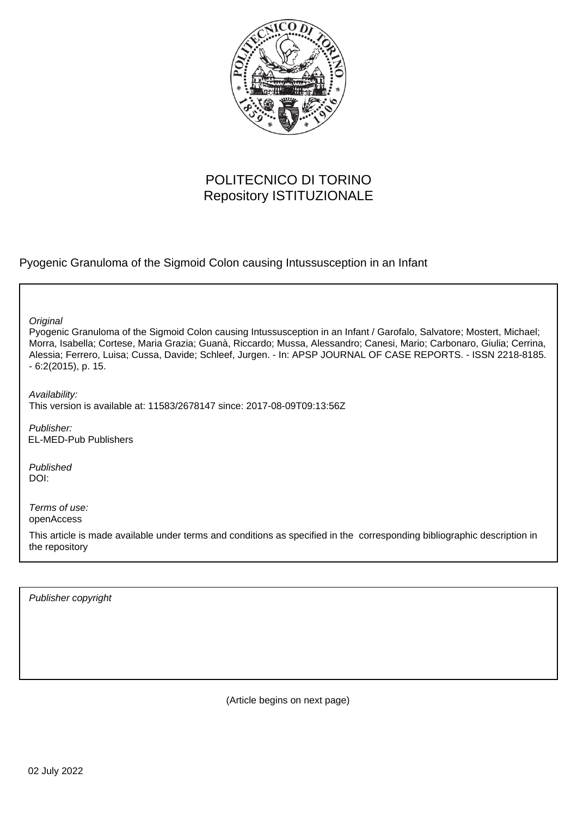

# POLITECNICO DI TORINO Repository ISTITUZIONALE

Pyogenic Granuloma of the Sigmoid Colon causing Intussusception in an Infant

**Original** 

Pyogenic Granuloma of the Sigmoid Colon causing Intussusception in an Infant / Garofalo, Salvatore; Mostert, Michael; Morra, Isabella; Cortese, Maria Grazia; Guanà, Riccardo; Mussa, Alessandro; Canesi, Mario; Carbonaro, Giulia; Cerrina, Alessia; Ferrero, Luisa; Cussa, Davide; Schleef, Jurgen. - In: APSP JOURNAL OF CASE REPORTS. - ISSN 2218-8185. - 6:2(2015), p. 15.

Availability: This version is available at: 11583/2678147 since: 2017-08-09T09:13:56Z

Publisher: EL-MED-Pub Publishers

Published DOI:

Terms of use: openAccess

This article is made available under terms and conditions as specified in the corresponding bibliographic description in the repository

Publisher copyright

(Article begins on next page)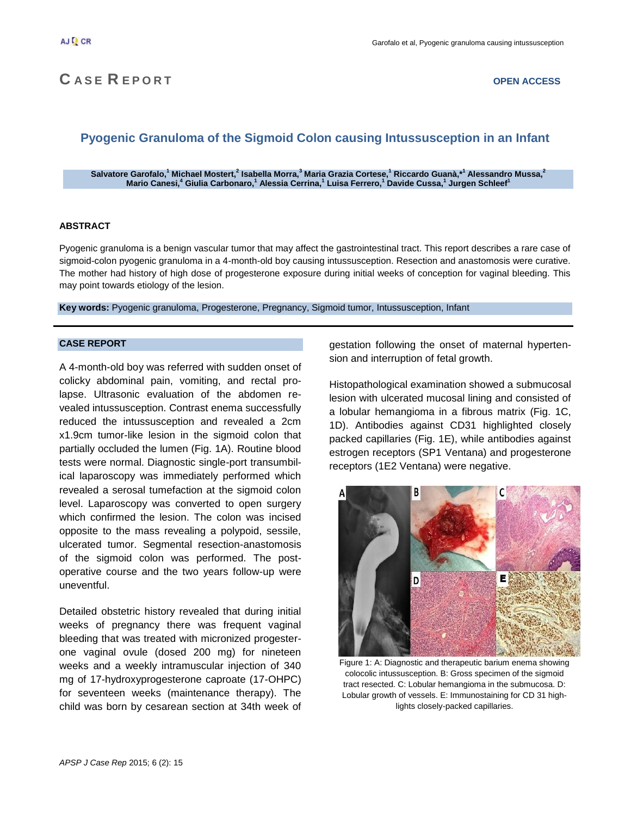# **C A S E R E P O R T OPEN ACCESS**

# **Pyogenic Granuloma of the Sigmoid Colon causing Intussusception in an Infant**

 $\delta$ Salvatore Garofalo, $^1$ Michael Mostert, $^2$  Isabella Morra, $^3$  Maria Grazia Cortese, $^1$  Riccardo Guanà,\* $^1$  Alessandro Mussa, $^2$ **Mario Canesi,<sup>4</sup> Giulia Carbonaro,<sup>1</sup> Alessia Cerrina,<sup>1</sup> Luisa Ferrero,<sup>1</sup> Davide Cussa,<sup>1</sup> Jurgen Schleef<sup>1</sup>**

### **ABSTRACT**

Pyogenic granuloma is a benign vascular tumor that may affect the gastrointestinal tract. This report describes a rare case of sigmoid-colon pyogenic granuloma in a 4-month-old boy causing intussusception. Resection and anastomosis were curative. The mother had history of high dose of progesterone exposure during initial weeks of conception for vaginal bleeding. This may point towards etiology of the lesion.

**Key words:** Pyogenic granuloma, Progesterone, Pregnancy, Sigmoid tumor, Intussusception, Infant

#### **CASE REPORT**

A 4-month-old boy was referred with sudden onset of colicky abdominal pain, vomiting, and rectal prolapse. Ultrasonic evaluation of the abdomen revealed intussusception. Contrast enema successfully reduced the intussusception and revealed a 2cm x1.9cm tumor-like lesion in the sigmoid colon that partially occluded the lumen (Fig. 1A). Routine blood tests were normal. Diagnostic single-port transumbilical laparoscopy was immediately performed which revealed a serosal tumefaction at the sigmoid colon level. Laparoscopy was converted to open surgery which confirmed the lesion. The colon was incised opposite to the mass revealing a polypoid, sessile, ulcerated tumor. Segmental resection-anastomosis of the sigmoid colon was performed. The postoperative course and the two years follow-up were uneventful.

Detailed obstetric history revealed that during initial weeks of pregnancy there was frequent vaginal bleeding that was treated with micronized progesterone vaginal ovule (dosed 200 mg) for nineteen weeks and a weekly intramuscular injection of 340 mg of 17-hydroxyprogesterone caproate (17-OHPC) for seventeen weeks (maintenance therapy). The child was born by cesarean section at 34th week of gestation following the onset of maternal hypertension and interruption of fetal growth.

Histopathological examination showed a submucosal lesion with ulcerated mucosal lining and consisted of a lobular hemangioma in a fibrous matrix (Fig. 1C, 1D). Antibodies against CD31 highlighted closely packed capillaries (Fig. 1E), while antibodies against estrogen receptors (SP1 Ventana) and progesterone receptors (1E2 Ventana) were negative.



Figure 1: A: Diagnostic and therapeutic barium enema showing colocolic intussusception. B: Gross specimen of the sigmoid tract resected. C: Lobular hemangioma in the submucosa. D: Lobular growth of vessels. E: Immunostaining for CD 31 highlights closely-packed capillaries.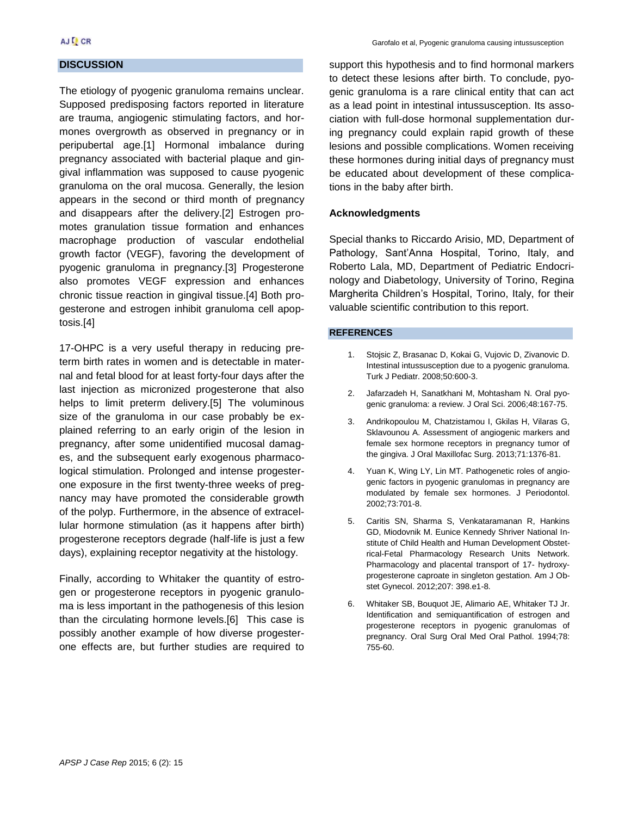### **DISCUSSION**

The etiology of pyogenic granuloma remains unclear. Supposed predisposing factors reported in literature are trauma, angiogenic stimulating factors, and hormones overgrowth as observed in pregnancy or in peripubertal age.[1] Hormonal imbalance during pregnancy associated with bacterial plaque and gingival inflammation was supposed to cause pyogenic granuloma on the oral mucosa. Generally, the lesion appears in the second or third month of pregnancy and disappears after the delivery.[2] Estrogen promotes granulation tissue formation and enhances macrophage production of vascular endothelial growth factor (VEGF), favoring the development of pyogenic granuloma in pregnancy.[3] Progesterone also promotes VEGF expression and enhances chronic tissue reaction in gingival tissue.[4] Both progesterone and estrogen inhibit granuloma cell apoptosis.[4]

17-OHPC is a very useful therapy in reducing preterm birth rates in women and is detectable in maternal and fetal blood for at least forty-four days after the last injection as micronized progesterone that also helps to limit preterm delivery.[5] The voluminous size of the granuloma in our case probably be explained referring to an early origin of the lesion in pregnancy, after some unidentified mucosal damages, and the subsequent early exogenous pharmacological stimulation. Prolonged and intense progesterone exposure in the first twenty-three weeks of pregnancy may have promoted the considerable growth of the polyp. Furthermore, in the absence of extracellular hormone stimulation (as it happens after birth) progesterone receptors degrade (half-life is just a few days), explaining receptor negativity at the histology.

Finally, according to Whitaker the quantity of estrogen or progesterone receptors in pyogenic granuloma is less important in the pathogenesis of this lesion than the circulating hormone levels.[6] This case is possibly another example of how diverse progesterone effects are, but further studies are required to

support this hypothesis and to find hormonal markers to detect these lesions after birth. To conclude, pyogenic granuloma is a rare clinical entity that can act as a lead point in intestinal intussusception. Its association with full-dose hormonal supplementation during pregnancy could explain rapid growth of these lesions and possible complications. Women receiving these hormones during initial days of pregnancy must be educated about development of these complications in the baby after birth.

### **Acknowledgments**

Special thanks to Riccardo Arisio, MD, Department of Pathology, Sant'Anna Hospital, Torino, Italy, and Roberto Lala, MD, Department of Pediatric Endocrinology and Diabetology, University of Torino, Regina Margherita Children's Hospital, Torino, Italy, for their valuable scientific contribution to this report.

#### **REFERENCES**

- 1. Stojsic Z, Brasanac D, Kokai G, Vujovic D, Zivanovic D. Intestinal intussusception due to a pyogenic granuloma. Turk J Pediatr. 2008;50:600-3.
- 2. Jafarzadeh H, Sanatkhani M, Mohtasham N. Oral pyogenic granuloma: a review. J Oral Sci. 2006;48:167-75.
- 3. Andrikopoulou M, Chatzistamou I, Gkilas H, Vilaras G, Sklavounou A. Assessment of angiogenic markers and female sex hormone receptors in pregnancy tumor of the gingiva. J Oral Maxillofac Surg. 2013;71:1376-81.
- 4. Yuan K, Wing LY, Lin MT. Pathogenetic roles of angiogenic factors in pyogenic granulomas in pregnancy are modulated by female sex hormones. J Periodontol. 2002;73:701-8.
- 5. Caritis SN, Sharma S, Venkataramanan R, Hankins GD, Miodovnik M. Eunice Kennedy Shriver National Institute of Child Health and Human Development Obstetrical-Fetal Pharmacology Research Units Network. Pharmacology and placental transport of 17- hydroxyprogesterone caproate in singleton gestation. Am J Obstet Gynecol. 2012;207: 398.e1-8.
- 6. Whitaker SB, Bouquot JE, Alimario AE, Whitaker TJ Jr. Identification and semiquantification of estrogen and progesterone receptors in pyogenic granulomas of pregnancy. Oral Surg Oral Med Oral Pathol. 1994;78: 755-60.